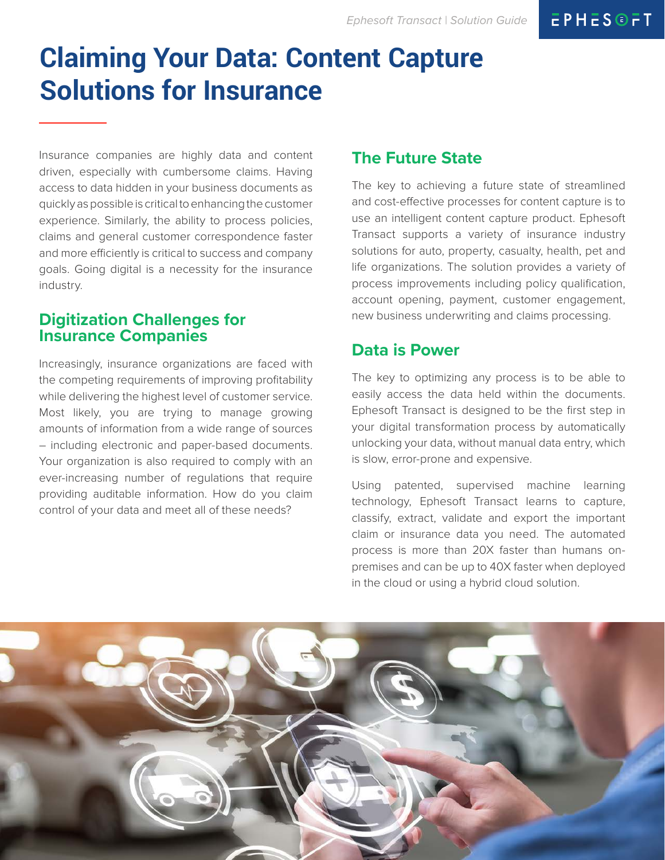# **Claiming Your Data: Content Capture Solutions for Insurance**

Insurance companies are highly data and content driven, especially with cumbersome claims. Having access to data hidden in your business documents as quickly as possible is critical to enhancing the customer experience. Similarly, the ability to process policies, claims and general customer correspondence faster and more efficiently is critical to success and company goals. Going digital is a necessity for the insurance industry.

## **Digitization Challenges for Insurance Companies**

Increasingly, insurance organizations are faced with the competing requirements of improving profitability while delivering the highest level of customer service. Most likely, you are trying to manage growing amounts of information from a wide range of sources – including electronic and paper-based documents. Your organization is also required to comply with an ever-increasing number of regulations that require providing auditable information. How do you claim control of your data and meet all of these needs?

# **The Future State**

The key to achieving a future state of streamlined and cost-effective processes for content capture is to use an intelligent content capture product. Ephesoft Transact supports a variety of insurance industry solutions for auto, property, casualty, health, pet and life organizations. The solution provides a variety of process improvements including policy qualification, account opening, payment, customer engagement, new business underwriting and claims processing.

## **Data is Power**

The key to optimizing any process is to be able to easily access the data held within the documents. Ephesoft Transact is designed to be the first step in your digital transformation process by automatically unlocking your data, without manual data entry, which is slow, error-prone and expensive.

Using patented, supervised machine learning technology, Ephesoft Transact learns to capture, classify, extract, validate and export the important claim or insurance data you need. The automated process is more than 20X faster than humans onpremises and can be up to 40X faster when deployed in the cloud or using a hybrid cloud solution.